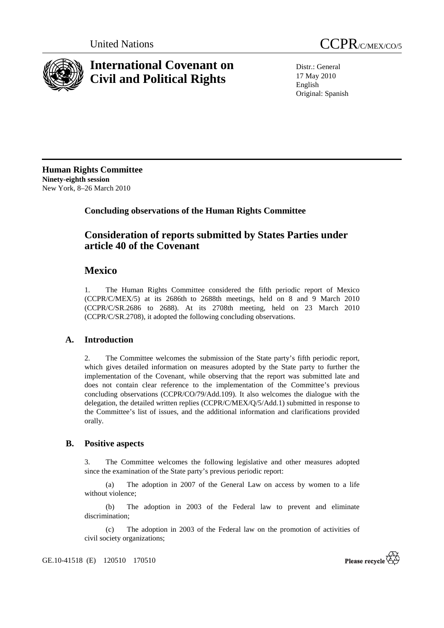

# **International Covenant on Civil and Political Rights**



Distr.: General 17 May 2010 English Original: Spanish

**Human Rights Committee Ninety-eighth session**  New York, 8–26 March 2010

# **Concluding observations of the Human Rights Committee**

# **Consideration of reports submitted by States Parties under article 40 of the Covenant**

# **Mexico**

1. The Human Rights Committee considered the fifth periodic report of Mexico (CCPR/C/MEX/5) at its 2686th to 2688th meetings, held on 8 and 9 March 2010 (CCPR/C/SR.2686 to 2688). At its 2708th meeting, held on 23 March 2010 (CCPR/C/SR.2708), it adopted the following concluding observations.

## **A. Introduction**

2. The Committee welcomes the submission of the State party's fifth periodic report, which gives detailed information on measures adopted by the State party to further the implementation of the Covenant, while observing that the report was submitted late and does not contain clear reference to the implementation of the Committee's previous concluding observations (CCPR/CO/79/Add.109). It also welcomes the dialogue with the delegation, the detailed written replies (CCPR/C/MEX/Q/5/Add.1) submitted in response to the Committee's list of issues, and the additional information and clarifications provided orally.

### **B. Positive aspects**

3. The Committee welcomes the following legislative and other measures adopted since the examination of the State party's previous periodic report:

 (a) The adoption in 2007 of the General Law on access by women to a life without violence;

 (b) The adoption in 2003 of the Federal law to prevent and eliminate discrimination;

 (c) The adoption in 2003 of the Federal law on the promotion of activities of civil society organizations;

GE.10-41518 (E) 120510 170510

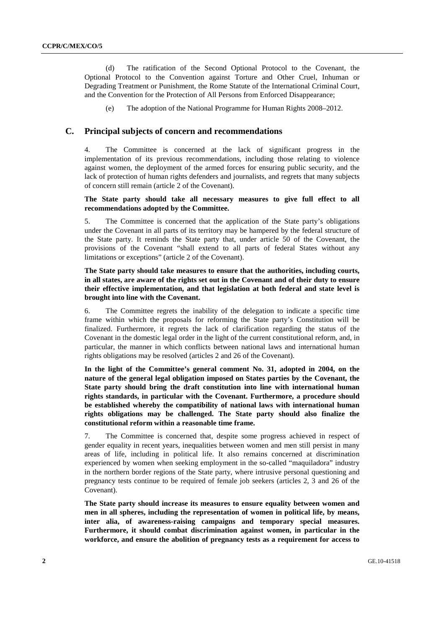(d) The ratification of the Second Optional Protocol to the Covenant, the Optional Protocol to the Convention against Torture and Other Cruel, Inhuman or Degrading Treatment or Punishment, the Rome Statute of the International Criminal Court, and the Convention for the Protection of All Persons from Enforced Disappearance;

(e) The adoption of the National Programme for Human Rights 2008–2012.

#### **C. Principal subjects of concern and recommendations**

4. The Committee is concerned at the lack of significant progress in the implementation of its previous recommendations, including those relating to violence against women, the deployment of the armed forces for ensuring public security, and the lack of protection of human rights defenders and journalists, and regrets that many subjects of concern still remain (article 2 of the Covenant).

#### **The State party should take all necessary measures to give full effect to all recommendations adopted by the Committee.**

5. The Committee is concerned that the application of the State party's obligations under the Covenant in all parts of its territory may be hampered by the federal structure of the State party. It reminds the State party that, under article 50 of the Covenant, the provisions of the Covenant "shall extend to all parts of federal States without any limitations or exceptions" (article 2 of the Covenant).

#### **The State party should take measures to ensure that the authorities, including courts, in all states, are aware of the rights set out in the Covenant and of their duty to ensure their effective implementation, and that legislation at both federal and state level is brought into line with the Covenant.**

6. The Committee regrets the inability of the delegation to indicate a specific time frame within which the proposals for reforming the State party's Constitution will be finalized. Furthermore, it regrets the lack of clarification regarding the status of the Covenant in the domestic legal order in the light of the current constitutional reform, and, in particular, the manner in which conflicts between national laws and international human rights obligations may be resolved (articles 2 and 26 of the Covenant).

**In the light of the Committee's general comment No. 31, adopted in 2004, on the nature of the general legal obligation imposed on States parties by the Covenant, the State party should bring the draft constitution into line with international human rights standards, in particular with the Covenant. Furthermore, a procedure should be established whereby the compatibility of national laws with international human rights obligations may be challenged. The State party should also finalize the constitutional reform within a reasonable time frame.** 

7. The Committee is concerned that, despite some progress achieved in respect of gender equality in recent years, inequalities between women and men still persist in many areas of life, including in political life. It also remains concerned at discrimination experienced by women when seeking employment in the so-called "maquiladora" industry in the northern border regions of the State party, where intrusive personal questioning and pregnancy tests continue to be required of female job seekers (articles 2, 3 and 26 of the Covenant).

**The State party should increase its measures to ensure equality between women and men in all spheres, including the representation of women in political life, by means, inter alia, of awareness-raising campaigns and temporary special measures. Furthermore, it should combat discrimination against women, in particular in the workforce, and ensure the abolition of pregnancy tests as a requirement for access to**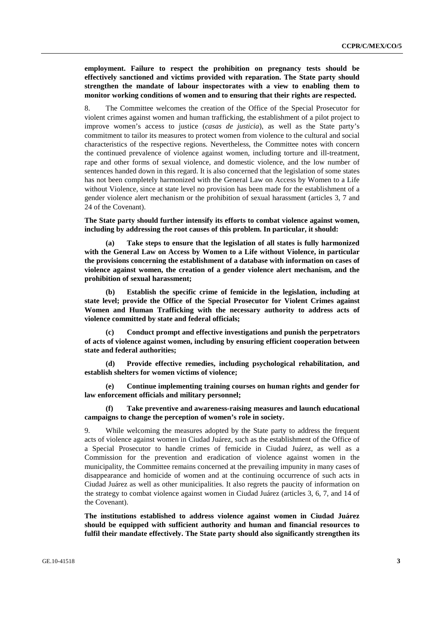**employment. Failure to respect the prohibition on pregnancy tests should be effectively sanctioned and victims provided with reparation. The State party should strengthen the mandate of labour inspectorates with a view to enabling them to monitor working conditions of women and to ensuring that their rights are respected.** 

8. The Committee welcomes the creation of the Office of the Special Prosecutor for violent crimes against women and human trafficking, the establishment of a pilot project to improve women's access to justice (*casas de justicia*), as well as the State party's commitment to tailor its measures to protect women from violence to the cultural and social characteristics of the respective regions. Nevertheless, the Committee notes with concern the continued prevalence of violence against women, including torture and ill-treatment, rape and other forms of sexual violence, and domestic violence, and the low number of sentences handed down in this regard. It is also concerned that the legislation of some states has not been completely harmonized with the General Law on Access by Women to a Life without Violence, since at state level no provision has been made for the establishment of a gender violence alert mechanism or the prohibition of sexual harassment (articles 3, 7 and 24 of the Covenant).

**The State party should further intensify its efforts to combat violence against women, including by addressing the root causes of this problem. In particular, it should:** 

 **(a) Take steps to ensure that the legislation of all states is fully harmonized with the General Law on Access by Women to a Life without Violence, in particular the provisions concerning the establishment of a database with information on cases of violence against women, the creation of a gender violence alert mechanism, and the prohibition of sexual harassment;** 

 **(b) Establish the specific crime of femicide in the legislation, including at state level; provide the Office of the Special Prosecutor for Violent Crimes against Women and Human Trafficking with the necessary authority to address acts of violence committed by state and federal officials;** 

 **(c) Conduct prompt and effective investigations and punish the perpetrators of acts of violence against women, including by ensuring efficient cooperation between state and federal authorities;** 

 **(d) Provide effective remedies, including psychological rehabilitation, and establish shelters for women victims of violence;** 

 **(e) Continue implementing training courses on human rights and gender for law enforcement officials and military personnel;** 

 **(f) Take preventive and awareness-raising measures and launch educational campaigns to change the perception of women's role in society.** 

9. While welcoming the measures adopted by the State party to address the frequent acts of violence against women in Ciudad Juárez, such as the establishment of the Office of a Special Prosecutor to handle crimes of femicide in Ciudad Juárez, as well as a Commission for the prevention and eradication of violence against women in the municipality, the Committee remains concerned at the prevailing impunity in many cases of disappearance and homicide of women and at the continuing occurrence of such acts in Ciudad Juárez as well as other municipalities. It also regrets the paucity of information on the strategy to combat violence against women in Ciudad Juárez (articles 3, 6, 7, and 14 of the Covenant).

**The institutions established to address violence against women in Ciudad Juárez should be equipped with sufficient authority and human and financial resources to fulfil their mandate effectively. The State party should also significantly strengthen its**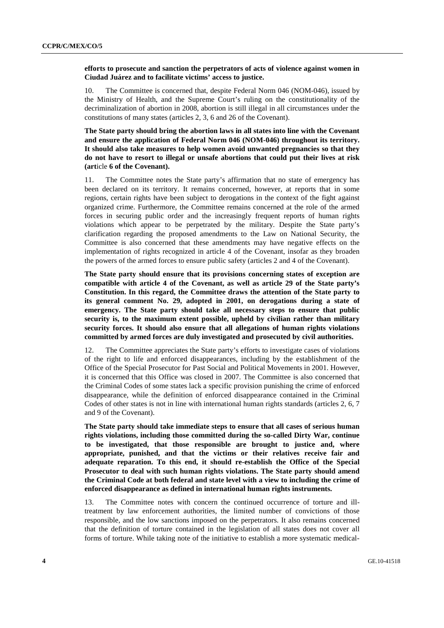#### **efforts to prosecute and sanction the perpetrators of acts of violence against women in Ciudad Juárez and to facilitate victims' access to justice.**

10. The Committee is concerned that, despite Federal Norm 046 (NOM-046), issued by the Ministry of Health, and the Supreme Court's ruling on the constitutionality of the decriminalization of abortion in 2008, abortion is still illegal in all circumstances under the constitutions of many states (articles 2, 3, 6 and 26 of the Covenant).

**The State party should bring the abortion laws in all states into line with the Covenant and ensure the application of Federal Norm 046 (NOM-046) throughout its territory. It should also take measures to help women avoid unwanted pregnancies so that they do not have to resort to illegal or unsafe abortions that could put their lives at risk (art**icle **6 of the Covenant).** 

11. The Committee notes the State party's affirmation that no state of emergency has been declared on its territory. It remains concerned, however, at reports that in some regions, certain rights have been subject to derogations in the context of the fight against organized crime. Furthermore, the Committee remains concerned at the role of the armed forces in securing public order and the increasingly frequent reports of human rights violations which appear to be perpetrated by the military. Despite the State party's clarification regarding the proposed amendments to the Law on National Security, the Committee is also concerned that these amendments may have negative effects on the implementation of rights recognized in article 4 of the Covenant, insofar as they broaden the powers of the armed forces to ensure public safety (articles 2 and 4 of the Covenant).

**The State party should ensure that its provisions concerning states of exception are compatible with article 4 of the Covenant, as well as article 29 of the State party's Constitution. In this regard, the Committee draws the attention of the State party to its general comment No. 29, adopted in 2001, on derogations during a state of emergency. The State party should take all necessary steps to ensure that public security is, to the maximum extent possible, upheld by civilian rather than military security forces. It should also ensure that all allegations of human rights violations committed by armed forces are duly investigated and prosecuted by civil authorities.** 

12. The Committee appreciates the State party's efforts to investigate cases of violations of the right to life and enforced disappearances, including by the establishment of the Office of the Special Prosecutor for Past Social and Political Movements in 2001. However, it is concerned that this Office was closed in 2007. The Committee is also concerned that the Criminal Codes of some states lack a specific provision punishing the crime of enforced disappearance, while the definition of enforced disappearance contained in the Criminal Codes of other states is not in line with international human rights standards (articles 2, 6, 7 and 9 of the Covenant).

**The State party should take immediate steps to ensure that all cases of serious human rights violations, including those committed during the so-called Dirty War, continue to be investigated, that those responsible are brought to justice and, where appropriate, punished, and that the victims or their relatives receive fair and adequate reparation. To this end, it should re-establish the Office of the Special Prosecutor to deal with such human rights violations. The State party should amend the Criminal Code at both federal and state level with a view to including the crime of enforced disappearance as defined in international human rights instruments.** 

13. The Committee notes with concern the continued occurrence of torture and illtreatment by law enforcement authorities, the limited number of convictions of those responsible, and the low sanctions imposed on the perpetrators. It also remains concerned that the definition of torture contained in the legislation of all states does not cover all forms of torture. While taking note of the initiative to establish a more systematic medical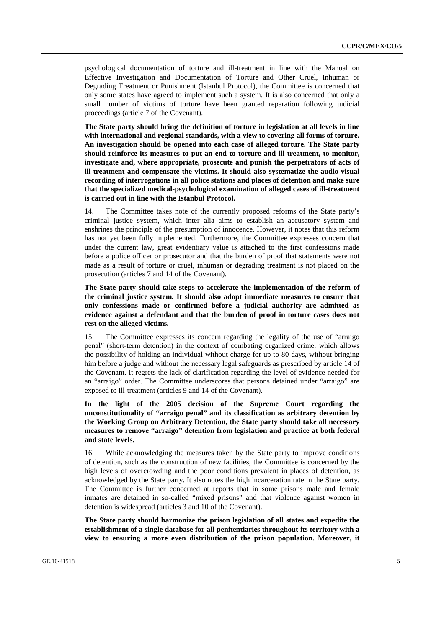psychological documentation of torture and ill-treatment in line with the Manual on Effective Investigation and Documentation of Torture and Other Cruel, Inhuman or Degrading Treatment or Punishment (Istanbul Protocol), the Committee is concerned that only some states have agreed to implement such a system. It is also concerned that only a small number of victims of torture have been granted reparation following judicial proceedings (article 7 of the Covenant).

**The State party should bring the definition of torture in legislation at all levels in line with international and regional standards, with a view to covering all forms of torture. An investigation should be opened into each case of alleged torture. The State party should reinforce its measures to put an end to torture and ill-treatment, to monitor, investigate and, where appropriate, prosecute and punish the perpetrators of acts of ill-treatment and compensate the victims. It should also systematize the audio-visual recording of interrogations in all police stations and places of detention and make sure that the specialized medical-psychological examination of alleged cases of ill-treatment is carried out in line with the Istanbul Protocol.** 

14. The Committee takes note of the currently proposed reforms of the State party's criminal justice system, which inter alia aims to establish an accusatory system and enshrines the principle of the presumption of innocence. However, it notes that this reform has not yet been fully implemented. Furthermore, the Committee expresses concern that under the current law, great evidentiary value is attached to the first confessions made before a police officer or prosecutor and that the burden of proof that statements were not made as a result of torture or cruel, inhuman or degrading treatment is not placed on the prosecution (articles 7 and 14 of the Covenant).

**The State party should take steps to accelerate the implementation of the reform of the criminal justice system. It should also adopt immediate measures to ensure that only confessions made or confirmed before a judicial authority are admitted as evidence against a defendant and that the burden of proof in torture cases does not rest on the alleged victims.** 

15. The Committee expresses its concern regarding the legality of the use of "arraigo penal" (short-term detention) in the context of combating organized crime, which allows the possibility of holding an individual without charge for up to 80 days, without bringing him before a judge and without the necessary legal safeguards as prescribed by article 14 of the Covenant. It regrets the lack of clarification regarding the level of evidence needed for an "arraigo" order. The Committee underscores that persons detained under "arraigo" are exposed to ill-treatment (articles 9 and 14 of the Covenant).

**In the light of the 2005 decision of the Supreme Court regarding the unconstitutionality of "arraigo penal" and its classification as arbitrary detention by the Working Group on Arbitrary Detention, the State party should take all necessary measures to remove "arraigo" detention from legislation and practice at both federal and state levels.** 

16. While acknowledging the measures taken by the State party to improve conditions of detention, such as the construction of new facilities, the Committee is concerned by the high levels of overcrowding and the poor conditions prevalent in places of detention, as acknowledged by the State party. It also notes the high incarceration rate in the State party. The Committee is further concerned at reports that in some prisons male and female inmates are detained in so-called "mixed prisons" and that violence against women in detention is widespread (articles 3 and 10 of the Covenant).

**The State party should harmonize the prison legislation of all states and expedite the establishment of a single database for all penitentiaries throughout its territory with a view to ensuring a more even distribution of the prison population. Moreover, it**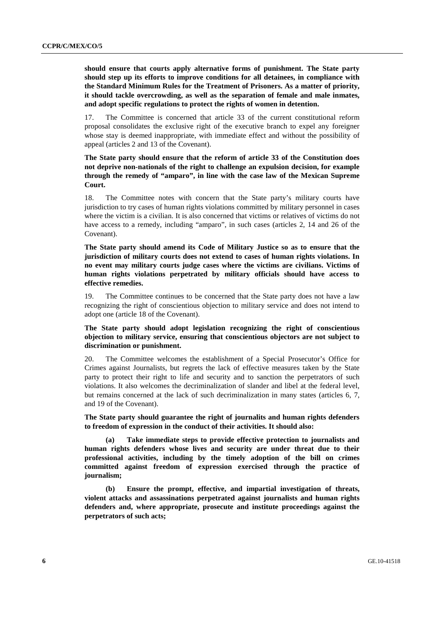**should ensure that courts apply alternative forms of punishment. The State party should step up its efforts to improve conditions for all detainees, in compliance with the Standard Minimum Rules for the Treatment of Prisoners. As a matter of priority, it should tackle overcrowding, as well as the separation of female and male inmates, and adopt specific regulations to protect the rights of women in detention.** 

17. The Committee is concerned that article 33 of the current constitutional reform proposal consolidates the exclusive right of the executive branch to expel any foreigner whose stay is deemed inappropriate, with immediate effect and without the possibility of appeal (articles 2 and 13 of the Covenant).

**The State party should ensure that the reform of article 33 of the Constitution does not deprive non-nationals of the right to challenge an expulsion decision, for example through the remedy of "amparo", in line with the case law of the Mexican Supreme Court.** 

18. The Committee notes with concern that the State party's military courts have jurisdiction to try cases of human rights violations committed by military personnel in cases where the victim is a civilian. It is also concerned that victims or relatives of victims do not have access to a remedy, including "amparo", in such cases (articles 2, 14 and 26 of the Covenant).

**The State party should amend its Code of Military Justice so as to ensure that the jurisdiction of military courts does not extend to cases of human rights violations. In no event may military courts judge cases where the victims are civilians. Victims of human rights violations perpetrated by military officials should have access to effective remedies.** 

19. The Committee continues to be concerned that the State party does not have a law recognizing the right of conscientious objection to military service and does not intend to adopt one (article 18 of the Covenant).

**The State party should adopt legislation recognizing the right of conscientious objection to military service, ensuring that conscientious objectors are not subject to discrimination or punishment.** 

20. The Committee welcomes the establishment of a Special Prosecutor's Office for Crimes against Journalists, but regrets the lack of effective measures taken by the State party to protect their right to life and security and to sanction the perpetrators of such violations. It also welcomes the decriminalization of slander and libel at the federal level, but remains concerned at the lack of such decriminalization in many states (articles 6, 7, and 19 of the Covenant).

**The State party should guarantee the right of journalits and human rights defenders to freedom of expression in the conduct of their activities. It should also:** 

 **(a) Take immediate steps to provide effective protection to journalists and human rights defenders whose lives and security are under threat due to their professional activities, including by the timely adoption of the bill on crimes committed against freedom of expression exercised through the practice of journalism;** 

 **(b) Ensure the prompt, effective, and impartial investigation of threats, violent attacks and assassinations perpetrated against journalists and human rights defenders and, where appropriate, prosecute and institute proceedings against the perpetrators of such acts;**